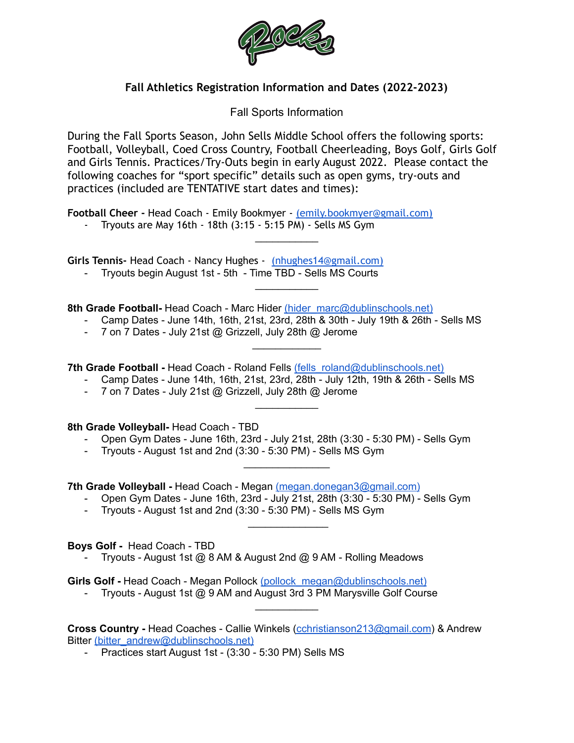

## **Fall Athletics Registration Information and Dates (2022-2023)**

Fall Sports Information

During the Fall Sports Season, John Sells Middle School offers the following sports: Football, Volleyball, Coed Cross Country, Football Cheerleading, Boys Golf, Girls Golf and Girls Tennis. Practices/Try-Outs begin in early August 2022. Please contact the following coaches for "sport specific" details such as open gyms, try-outs and practices (included are TENTATIVE start dates and times):

 $\overline{\phantom{a}}$  . The set of the set of the set of the set of the set of the set of the set of the set of the set of the set of the set of the set of the set of the set of the set of the set of the set of the set of the set o

 $\overline{\phantom{a}}$  . The set of the set of the set of the set of the set of the set of the set of the set of the set of the set of the set of the set of the set of the set of the set of the set of the set of the set of the set o

**Football Cheer -** Head Coach - Emily Bookmyer - [\(emily.bookmyer@gmail.com\)](mailto:emily.bookmyer@gmail.com)

- Tryouts are May 16th - 18th (3:15 - 5:15 PM) - Sells MS Gym

**Girls Tennis-** Head Coach - Nancy Hughes - [\(nhughes14@gmail.com\)](mailto:nhughes14@gmail.com)

- Tryouts begin August 1st - 5th - Time TBD - Sells MS Courts

**8th Grade Football-** Head Coach - Marc Hider [\(hider\\_marc@dublinschools.net\)](mailto:hider_marc@dublinschools.net)

- Camp Dates - June 14th, 16th, 21st, 23rd, 28th & 30th - July 19th & 26th - Sells MS

 $\mathcal{L}_\text{max}$  . The set of the set of the set of the set of the set of the set of the set of the set of the set of the set of the set of the set of the set of the set of the set of the set of the set of the set of the set

 $\overline{\phantom{a}}$  . The set of the set of the set of the set of the set of the set of the set of the set of the set of the set of the set of the set of the set of the set of the set of the set of the set of the set of the set o

 $\overline{\phantom{a}}$  , which is a set of the set of the set of the set of the set of the set of the set of the set of the set of the set of the set of the set of the set of the set of the set of the set of the set of the set of th

 $\mathcal{L}_\text{max}$  , where  $\mathcal{L}_\text{max}$ 

- 7 on 7 Dates - July 21st @ Grizzell, July 28th @ Jerome

**7th Grade Football -** Head Coach - Roland Fells [\(fells\\_roland@dublinschools.net\)](mailto:fells_roland@dublinschools.net)

- Camp Dates June 14th, 16th, 21st, 23rd, 28th July 12th, 19th & 26th Sells MS
- 7 on 7 Dates July 21st @ Grizzell, July 28th @ Jerome

**8th Grade Volleyball-** Head Coach - TBD

- Open Gym Dates June 16th, 23rd July 21st, 28th (3:30 5:30 PM) Sells Gym
- Tryouts August 1st and 2nd (3:30 5:30 PM) Sells MS Gym

**7th Grade Volleyball -** Head Coach - Megan [\(megan.donegan3@gmail.com\)](mailto:megan.donegan3@gmail.com)

- Open Gym Dates June 16th, 23rd July 21st, 28th (3:30 5:30 PM) Sells Gym
- Tryouts August 1st and 2nd (3:30 5:30 PM) Sells MS Gym

**Boys Golf -** Head Coach - TBD

- Tryouts - August 1st @ 8 AM & August 2nd @ 9 AM - Rolling Meadows

**Girls Golf -** Head Coach - Megan Pollock [\(pollock\\_megan@dublinschools.net\)](mailto:pollock_megan@dublinschools.net)

- Tryouts - August 1st @ 9 AM and August 3rd 3 PM Marysville Golf Course

**Cross Country -** Head Coaches - Callie Winkels [\(cchristianson213@gmail.com](mailto:cchristianson213@gmail.com)) & Andrew Bitter [\(bitter\\_andrew@dublinschools.net\)](mailto:bitter_andrew@dublinschools.net)

 $\overline{\phantom{a}}$  . The set of the set of the set of the set of the set of the set of the set of the set of the set of the set of the set of the set of the set of the set of the set of the set of the set of the set of the set o

- Practices start August 1st - (3:30 - 5:30 PM) Sells MS